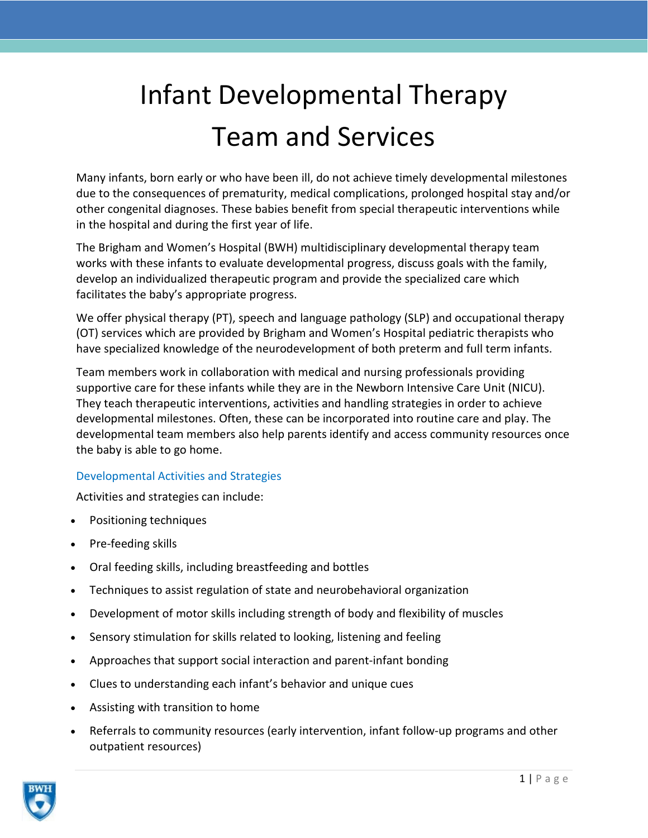# Infant Developmental Therapy Team and Services

Many infants, born early or who have been ill, do not achieve timely developmental milestones due to the consequences of prematurity, medical complications, prolonged hospital stay and/or other congenital diagnoses. These babies benefit from special therapeutic interventions while in the hospital and during the first year of life.

The Brigham and Women's Hospital (BWH) multidisciplinary developmental therapy team works with these infants to evaluate developmental progress, discuss goals with the family, develop an individualized therapeutic program and provide the specialized care which facilitates the baby's appropriate progress.

We offer physical therapy (PT), speech and language pathology (SLP) and occupational therapy (OT) services which are provided by Brigham and Women's Hospital pediatric therapists who have specialized knowledge of the neurodevelopment of both preterm and full term infants.

Team members work in collaboration with medical and nursing professionals providing supportive care for these infants while they are in the Newborn Intensive Care Unit (NICU). They teach therapeutic interventions, activities and handling strategies in order to achieve developmental milestones. Often, these can be incorporated into routine care and play. The developmental team members also help parents identify and access community resources once the baby is able to go home.

# Developmental Activities and Strategies

Activities and strategies can include:

- Positioning techniques
- Pre-feeding skills
- Oral feeding skills, including breastfeeding and bottles
- Techniques to assist regulation of state and neurobehavioral organization
- Development of motor skills including strength of body and flexibility of muscles
- Sensory stimulation for skills related to looking, listening and feeling
- Approaches that support social interaction and parent-infant bonding
- Clues to understanding each infant's behavior and unique cues
- Assisting with transition to home
- Referrals to community resources (early intervention, infant follow-up programs and other outpatient resources)